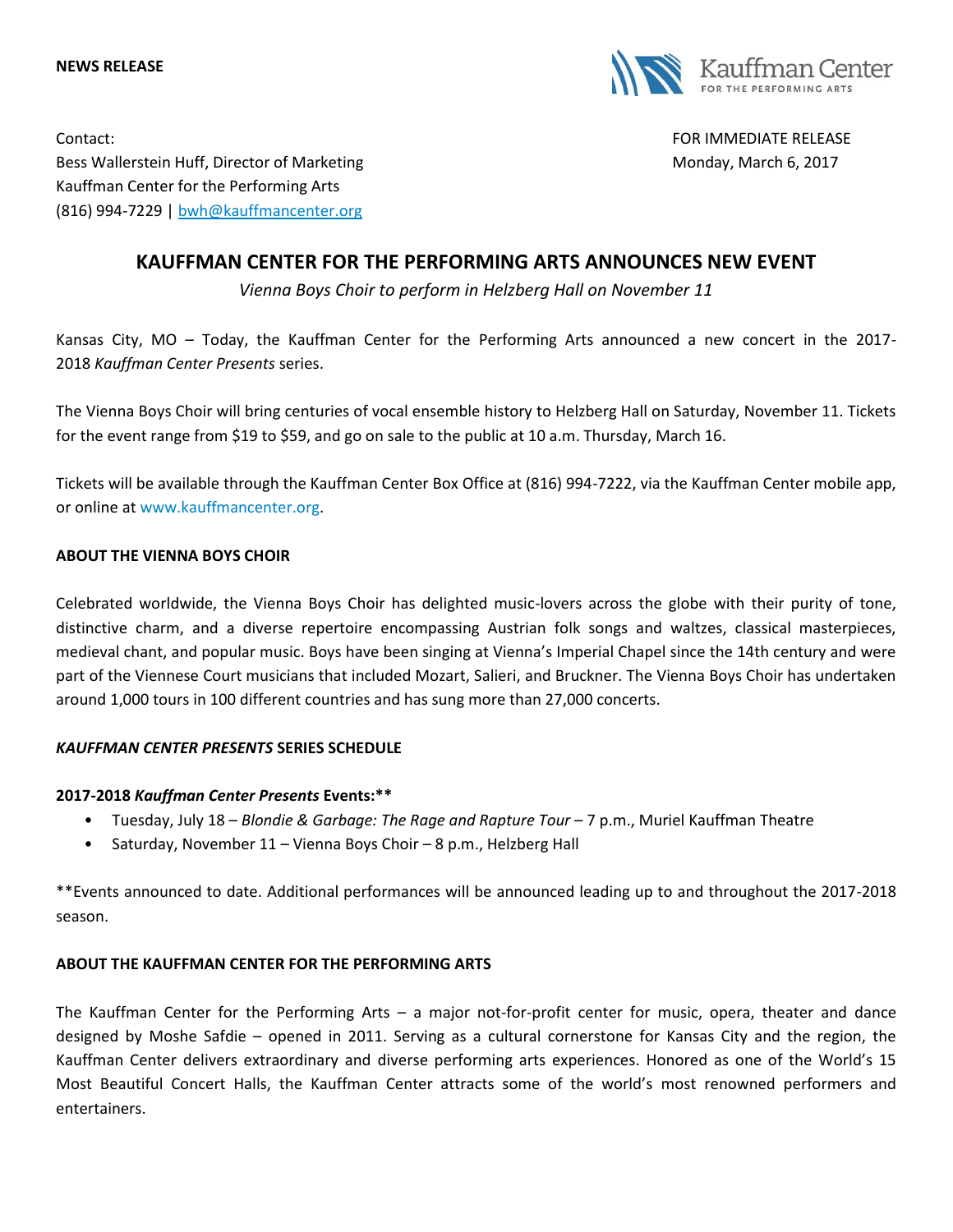



Contact: FOR IMMEDIATE RELEASE Bess Wallerstein Huff, Director of Marketing Monday, March 6, 2017 Kauffman Center for the Performing Arts (816) 994-7229 | [bwh@kauffmancenter.org](mailto:bwh@kauffmancenter.org)

# **KAUFFMAN CENTER FOR THE PERFORMING ARTS ANNOUNCES NEW EVENT**

*Vienna Boys Choir to perform in Helzberg Hall on November 11*

Kansas City, MO – Today, the Kauffman Center for the Performing Arts announced a new concert in the 2017- 2018 *Kauffman Center Presents* series.

The Vienna Boys Choir will bring centuries of vocal ensemble history to Helzberg Hall on Saturday, November 11. Tickets for the event range from \$19 to \$59, and go on sale to the public at 10 a.m. Thursday, March 16.

Tickets will be available through the Kauffman Center Box Office at (816) 994-7222, via the Kauffman Center mobile app, or online at [www.kauffmancenter.org.](http://www.kauffmancenter.org/)

## **ABOUT THE VIENNA BOYS CHOIR**

Celebrated worldwide, the Vienna Boys Choir has delighted music-lovers across the globe with their purity of tone, distinctive charm, and a diverse repertoire encompassing Austrian folk songs and waltzes, classical masterpieces, medieval chant, and popular music. Boys have been singing at Vienna's Imperial Chapel since the 14th century and were part of the Viennese Court musicians that included Mozart, Salieri, and Bruckner. The Vienna Boys Choir has undertaken around 1,000 tours in 100 different countries and has sung more than 27,000 concerts.

## *KAUFFMAN CENTER PRESENTS* **SERIES SCHEDULE**

## **2017-2018** *Kauffman Center Presents* **Events:\*\***

- Tuesday, July 18 *Blondie & Garbage: The Rage and Rapture Tour* 7 p.m., Muriel Kauffman Theatre
- Saturday, November 11 Vienna Boys Choir 8 p.m., Helzberg Hall

\*\*Events announced to date. Additional performances will be announced leading up to and throughout the 2017-2018 season.

## **ABOUT THE KAUFFMAN CENTER FOR THE PERFORMING ARTS**

The Kauffman Center for the Performing Arts – a major not-for-profit center for music, opera, theater and dance designed by Moshe Safdie – opened in 2011. Serving as a cultural cornerstone for Kansas City and the region, the Kauffman Center delivers extraordinary and diverse performing arts experiences. Honored as one of the World's 15 Most Beautiful Concert Halls, the Kauffman Center attracts some of the world's most renowned performers and entertainers.